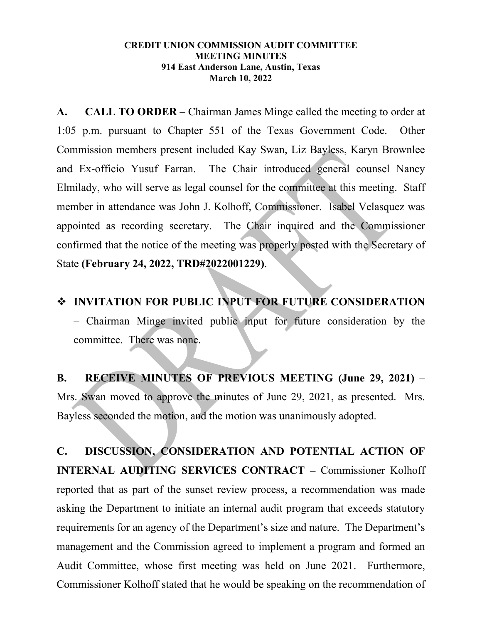## **CREDIT UNION COMMISSION AUDIT COMMITTEE MEETING MINUTES 914 East Anderson Lane, Austin, Texas March 10, 2022**

**A. CALL TO ORDER** – Chairman James Minge called the meeting to order at 1:05 p.m. pursuant to Chapter 551 of the Texas Government Code. Other Commission members present included Kay Swan, Liz Bayless, Karyn Brownlee and Ex-officio Yusuf Farran. The Chair introduced general counsel Nancy Elmilady, who will serve as legal counsel for the committee at this meeting. Staff member in attendance was John J. Kolhoff, Commissioner. Isabel Velasquez was appointed as recording secretary. The Chair inquired and the Commissioner confirmed that the notice of the meeting was properly posted with the Secretary of State **(February 24, 2022, TRD#2022001229)**.

 **INVITATION FOR PUBLIC INPUT FOR FUTURE CONSIDERATION** – Chairman Minge invited public input for future consideration by the committee. There was none.

**B. RECEIVE MINUTES OF PREVIOUS MEETING (June 29, 2021)** – Mrs. Swan moved to approve the minutes of June 29, 2021, as presented. Mrs. Bayless seconded the motion, and the motion was unanimously adopted.

**C. DISCUSSION, CONSIDERATION AND POTENTIAL ACTION OF INTERNAL AUDITING SERVICES CONTRACT –** Commissioner Kolhoff reported that as part of the sunset review process, a recommendation was made asking the Department to initiate an internal audit program that exceeds statutory requirements for an agency of the Department's size and nature. The Department's management and the Commission agreed to implement a program and formed an Audit Committee, whose first meeting was held on June 2021. Furthermore, Commissioner Kolhoff stated that he would be speaking on the recommendation of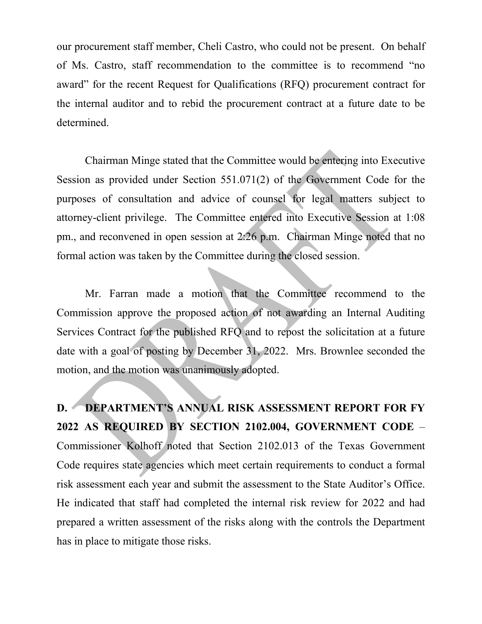our procurement staff member, Cheli Castro, who could not be present. On behalf of Ms. Castro, staff recommendation to the committee is to recommend "no award" for the recent Request for Qualifications (RFQ) procurement contract for the internal auditor and to rebid the procurement contract at a future date to be determined.

Chairman Minge stated that the Committee would be entering into Executive Session as provided under Section 551.071(2) of the Government Code for the purposes of consultation and advice of counsel for legal matters subject to attorney-client privilege. The Committee entered into Executive Session at 1:08 pm., and reconvened in open session at 2:26 p.m. Chairman Minge noted that no formal action was taken by the Committee during the closed session.

Mr. Farran made a motion that the Committee recommend to the Commission approve the proposed action of not awarding an Internal Auditing Services Contract for the published RFQ and to repost the solicitation at a future date with a goal of posting by December 31, 2022. Mrs. Brownlee seconded the motion, and the motion was unanimously adopted.

**D. DEPARTMENT'S ANNUAL RISK ASSESSMENT REPORT FOR FY 2022 AS REQUIRED BY SECTION 2102.004, GOVERNMENT CODE** – Commissioner Kolhoff noted that Section 2102.013 of the Texas Government Code requires state agencies which meet certain requirements to conduct a formal risk assessment each year and submit the assessment to the State Auditor's Office. He indicated that staff had completed the internal risk review for 2022 and had prepared a written assessment of the risks along with the controls the Department has in place to mitigate those risks.